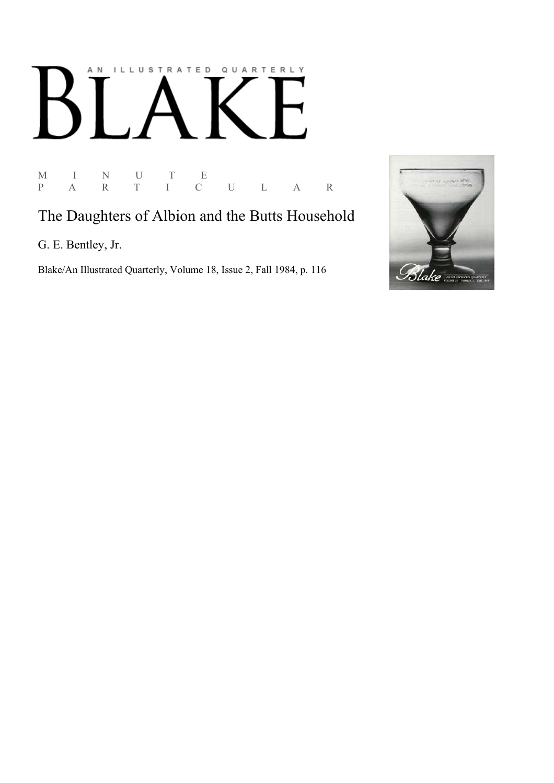# AN ILLUSTRATED QUARTERLY K

M I N U T E P A R T I C U L A R

### The Daughters of Albion and the Butts Household

G. E. Bentley, Jr.

Blake/An Illustrated Quarterly, Volume 18, Issue 2, Fall 1984, p. 116